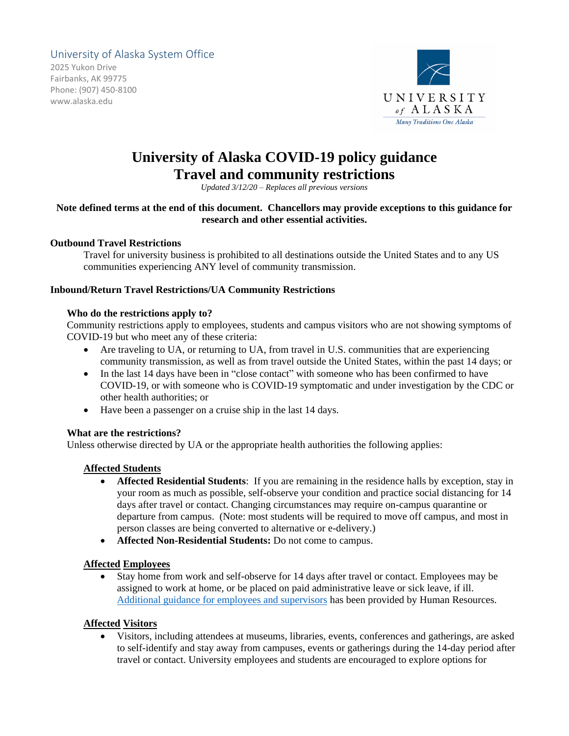## University of Alaska System Office

2025 Yukon Drive Fairbanks, AK 99775 Phone: (907) 450-8100 www.alaska.edu



# **University of Alaska COVID-19 policy guidance Travel and community restrictions**

*Updated 3/12/20 – Replaces all previous versions*

## **Note defined terms at the end of this document. Chancellors may provide exceptions to this guidance for research and other essential activities.**

#### **Outbound Travel Restrictions**

Travel for university business is prohibited to all destinations outside the United States and to any US communities experiencing ANY level of community transmission.

#### **Inbound/Return Travel Restrictions/UA Community Restrictions**

#### **Who do the restrictions apply to?**

Community restrictions apply to employees, students and campus visitors who are not showing symptoms of COVID-19 but who meet any of these criteria:

- Are traveling to UA, or returning to UA, from travel in U.S. communities that are experiencing community transmission, as well as from travel outside the United States, within the past 14 days; or
- In the last 14 days have been in "close contact" with someone who has been confirmed to have COVID-19, or with someone who is COVID-19 symptomatic and under investigation by the CDC or other health authorities; or
- Have been a passenger on a cruise ship in the last 14 days.

#### **What are the restrictions?**

Unless otherwise directed by UA or the appropriate health authorities the following applies:

#### **Affected Students**

- **Affected Residential Students**: If you are remaining in the residence halls by exception, stay in your room as much as possible, self-observe your condition and practice social distancing for 14 days after travel or contact. Changing circumstances may require on-campus quarantine or departure from campus. (Note: most students will be required to move off campus, and most in person classes are being converted to alternative or e-delivery.)
- **Affected Non-Residential Students:** Do not come to campus.

#### **Affected Employees**

• Stay home from work and self-observe for 14 days after travel or contact. Employees may be assigned to work at home, or be placed on paid administrative leave or sick leave, if ill. [Additional guidance for employees and supervisors](https://drive.google.com/file/d/1yfxY1zv16_OoqYNmLA2ShU915cutpsHh/view?usp=sharing) has been provided by Human Resources.

#### **Affected Visitors**

• Visitors, including attendees at museums, libraries, events, conferences and gatherings, are asked to self-identify and stay away from campuses, events or gatherings during the 14-day period after travel or contact. University employees and students are encouraged to explore options for